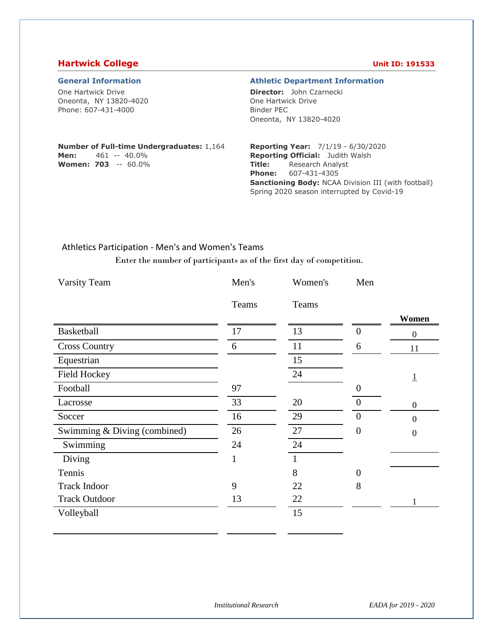### **Hartwick College Unit ID: 191533**

One Hartwick Drive Oneonta, NY 13820-4020 Phone: 607-431-4000

#### **General Information Athletic Department Information**

**Director:** John Czarnecki One Hartwick Drive Binder PEC Oneonta, NY 13820-4020

#### **Number of Full-time Undergraduates:** 1,164 **Men:** 461 -- 40.0%

**Women: 703** -- 60.0%

#### **Reporting Year:** 7/1/19 - 6/30/2020 **Reporting Official:** Judith Walsh **Title:** Research Analyst **Phone:** 607-431-4305 **Sanctioning Body:** NCAA Division III (with football) Spring 2020 season interrupted by Covid-19

#### Athletics Participation - Men's and Women's Teams

Enter the number of participants as of the first day of competition.

| <b>Varsity Team</b>          | Men's | Women's | Men            |                  |
|------------------------------|-------|---------|----------------|------------------|
|                              | Teams | Teams   |                |                  |
|                              |       |         |                | Women            |
| Basketball                   | 17    | 13      | $\overline{0}$ | $\overline{0}$   |
| <b>Cross Country</b>         | 6     | 11      | 6              | 11               |
| Equestrian                   |       | 15      |                |                  |
| <b>Field Hockey</b>          |       | 24      |                | $\overline{1}$   |
| Football                     | 97    |         | $\theta$       |                  |
| Lacrosse                     | 33    | 20      | $\overline{0}$ | $\boldsymbol{0}$ |
| Soccer                       | 16    | 29      | $\overline{0}$ | $\theta$         |
| Swimming & Diving (combined) | 26    | 27      | $\Omega$       | $\overline{0}$   |
| Swimming                     | 24    | 24      |                |                  |
| Diving                       | 1     | 1       |                |                  |
| Tennis                       |       | 8       | $\overline{0}$ |                  |
| <b>Track Indoor</b>          | 9     | 22      | 8              |                  |
| <b>Track Outdoor</b>         | 13    | 22      |                |                  |
| Volleyball                   |       | 15      |                |                  |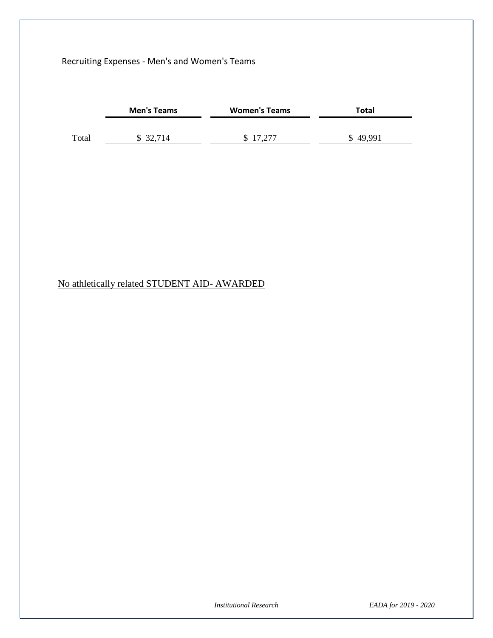### Recruiting Expenses - Men's and Women's Teams

|       | <b>Men's Teams</b> | <b>Women's Teams</b> | Total    |  |
|-------|--------------------|----------------------|----------|--|
|       |                    |                      |          |  |
| Total | \$ 32,714          | \$17,277             | \$49,991 |  |

## No athletically related STUDENT AID- AWARDED

*Institutional Research EADA for 2019 - 2020*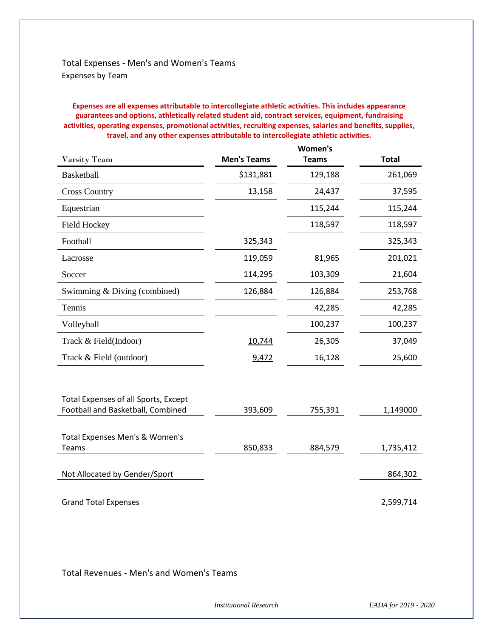### Total Expenses - Men's and Women's Teams Expenses by Team

**Expenses are all expenses attributable to intercollegiate athletic activities. This includes appearance guarantees and options, athletically related student aid, contract services, equipment, fundraising activities, operating expenses, promotional activities, recruiting expenses, salaries and benefits, supplies, travel, and any other expenses attributable to intercollegiate athletic activities.**

| Varsity Team                                                              | <b>Men's Teams</b> | Women's<br><b>Teams</b> | <b>Total</b> |
|---------------------------------------------------------------------------|--------------------|-------------------------|--------------|
| <b>Basketball</b>                                                         | \$131,881          | 129,188                 | 261,069      |
| <b>Cross Country</b>                                                      | 13,158             | 24,437                  | 37,595       |
| Equestrian                                                                |                    | 115,244                 | 115,244      |
| <b>Field Hockey</b>                                                       |                    | 118,597                 | 118,597      |
| Football                                                                  | 325,343            |                         | 325,343      |
| Lacrosse                                                                  | 119,059            | 81,965                  | 201,021      |
| Soccer                                                                    | 114,295            | 103,309                 | 21,604       |
| Swimming & Diving (combined)                                              | 126,884            | 126,884                 | 253,768      |
| Tennis                                                                    |                    | 42,285                  | 42,285       |
| Volleyball                                                                |                    | 100,237                 | 100,237      |
| Track & Field(Indoor)                                                     | 10,744             | 26,305                  | 37,049       |
| Track & Field (outdoor)                                                   | 9,472              | 16,128                  | 25,600       |
| Total Expenses of all Sports, Except<br>Football and Basketball, Combined | 393,609            | 755,391                 | 1,149000     |
| Total Expenses Men's & Women's<br>Teams                                   | 850,833            | 884,579                 | 1,735,412    |
| Not Allocated by Gender/Sport                                             |                    |                         | 864,302      |
| <b>Grand Total Expenses</b>                                               |                    |                         | 2,599,714    |

Total Revenues - Men's and Women's Teams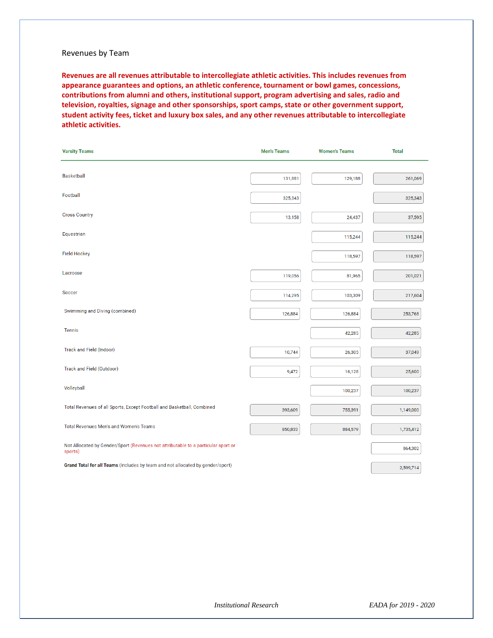#### Revenues by Team

**Revenues are all revenues attributable to intercollegiate athletic activities. This includes revenues from appearance guarantees and options, an athletic conference, tournament or bowl games, concessions, contributions from alumni and others, institutional support, program advertising and sales, radio and television, royalties, signage and other sponsorships, sport camps, state or other government support, student activity fees, ticket and luxury box sales, and any other revenues attributable to intercollegiate athletic activities.**

| <b>Varsity Teams</b>                                                                         | <b>Men's Teams</b> | <b>Women's Teams</b> | <b>Total</b> |
|----------------------------------------------------------------------------------------------|--------------------|----------------------|--------------|
|                                                                                              |                    |                      |              |
| <b>Basketball</b>                                                                            | 131,881            | 129,188              | 261,069      |
| Football                                                                                     | 325,343            |                      | 325,343      |
| <b>Cross Country</b>                                                                         | 13,158             | 24,437               | 37,595       |
| Equestrian                                                                                   |                    | 115,244              | 115,244      |
| <b>Field Hockey</b>                                                                          |                    | 118,597              | 118,597      |
| Lacrosse                                                                                     | 119,056            | 81,965               | 201,021      |
| Soccer                                                                                       | 114,295            | 103,309              | 217,604      |
| Swimming and Diving (combined)                                                               | 126,884            | 126,884              | 253,768      |
| <b>Tennis</b>                                                                                |                    | 42,285               | 42,285       |
| Track and Field (Indoor)                                                                     | 10,744             | 26,305               | 37,049       |
| Track and Field (Outdoor)                                                                    | 9,472              | 16,128               | 25,600       |
| Volleyball                                                                                   |                    | 100,237              | 100,237      |
| Total Revenues of all Sports, Except Football and Basketball, Combined                       | 393,609            | 755,391              | 1,149,000    |
| Total Revenues Men's and Women's Teams                                                       | 850,833            | 884,579              | 1,735,412    |
| Not Allocated by Gender/Sport (Revenues not attributable to a particular sport or<br>sports) |                    |                      | 864,302      |
| Grand Total for all Teams (includes by team and not allocated by gender/sport)               |                    |                      | 2,599,714    |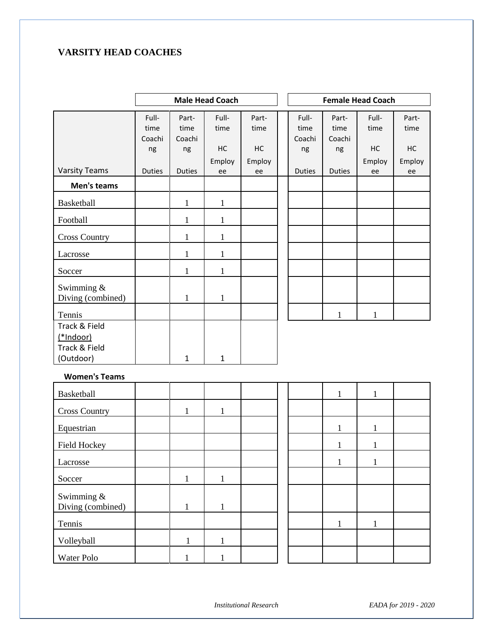### **VARSITY HEAD COACHES**

|                                 |                         |                         | <b>Male Head Coach</b> |               |                         |                         | <b>Female Head Coach</b> |               |
|---------------------------------|-------------------------|-------------------------|------------------------|---------------|-------------------------|-------------------------|--------------------------|---------------|
|                                 | Full-<br>time<br>Coachi | Part-<br>time<br>Coachi | Full-<br>time          | Part-<br>time | Full-<br>time<br>Coachi | Part-<br>time<br>Coachi | Full-<br>time            | Part-<br>time |
|                                 | ng                      | ng                      | HC                     | HC            | ng                      | ng                      | HC                       | <b>HC</b>     |
|                                 |                         |                         | Employ                 | Employ        |                         |                         | Employ                   | Employ        |
| <b>Varsity Teams</b>            | <b>Duties</b>           | <b>Duties</b>           | ee                     | ee            | <b>Duties</b>           | <b>Duties</b>           | ee                       | ee            |
| Men's teams                     |                         |                         |                        |               |                         |                         |                          |               |
| Basketball                      |                         | 1                       | $\mathbf{1}$           |               |                         |                         |                          |               |
| Football                        |                         | 1                       | 1                      |               |                         |                         |                          |               |
| <b>Cross Country</b>            |                         | 1                       | 1                      |               |                         |                         |                          |               |
| Lacrosse                        |                         | 1                       | 1                      |               |                         |                         |                          |               |
| Soccer                          |                         | 1                       | 1                      |               |                         |                         |                          |               |
| Swimming &<br>Diving (combined) |                         | $\mathbf{1}$            | $\mathbf{1}$           |               |                         |                         |                          |               |
| Tennis                          |                         |                         |                        |               |                         | $\mathbf{1}$            | $\mathbf{1}$             |               |
| Track & Field                   |                         |                         |                        |               |                         |                         |                          |               |
| $(*Indoor)$                     |                         |                         |                        |               |                         |                         |                          |               |
| Track & Field                   |                         |                         |                        |               |                         |                         |                          |               |
| (Outdoor)                       |                         | $\mathbf{1}$            | 1                      |               |                         |                         |                          |               |

#### **Women's Teams**

| Basketball           |   |  |  |  |  |
|----------------------|---|--|--|--|--|
| <b>Cross Country</b> |   |  |  |  |  |
| Equestrian           |   |  |  |  |  |
| Field Hockey         |   |  |  |  |  |
| Lacrosse             |   |  |  |  |  |
| Soccer               |   |  |  |  |  |
| Swimming &           |   |  |  |  |  |
| Diving (combined)    |   |  |  |  |  |
| Tennis               |   |  |  |  |  |
| Volleyball           | 1 |  |  |  |  |
| Water Polo           |   |  |  |  |  |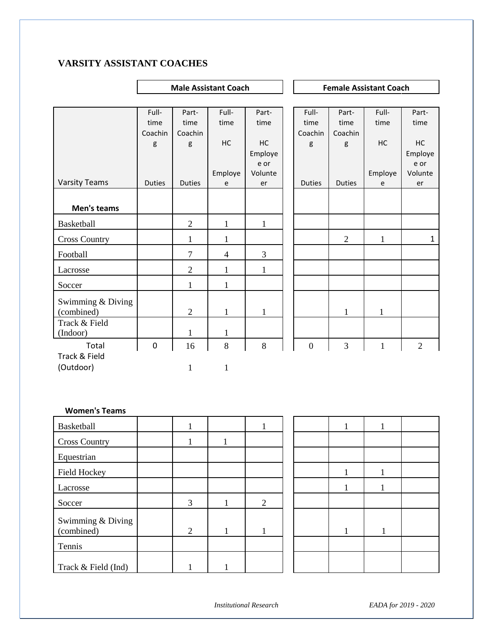### **VARSITY ASSISTANT COACHES**

|                      |               |                | <b>Male Assistant Coach</b> |         | <b>Female Assistant Coach</b> |                |              |                |
|----------------------|---------------|----------------|-----------------------------|---------|-------------------------------|----------------|--------------|----------------|
|                      |               |                |                             |         |                               |                |              |                |
|                      | Full-         | Part-          | Full-                       | Part-   | Full-                         | Part-          | Full-        | Part-          |
|                      | time          | time           | time                        | time    | time                          | time           | time         | time           |
|                      | Coachin       | Coachin        |                             |         | Coachin                       | Coachin        |              |                |
|                      | g             | g              | HC                          | HC      | g                             | g              | HC           | HC             |
|                      |               |                |                             | Employe |                               |                |              | Employe        |
|                      |               |                |                             | e or    |                               |                |              | e or           |
|                      |               |                | Employe                     | Volunte |                               |                | Employe      | Volunte        |
| <b>Varsity Teams</b> | <b>Duties</b> | <b>Duties</b>  | e                           | er      | <b>Duties</b>                 | <b>Duties</b>  | e            | er             |
|                      |               |                |                             |         |                               |                |              |                |
| Men's teams          |               |                |                             |         |                               |                |              |                |
| Basketball           |               | $\overline{2}$ | 1                           | 1       |                               |                |              |                |
| <b>Cross Country</b> |               | $\mathbf{1}$   | 1                           |         |                               | $\overline{2}$ | $\mathbf{1}$ | $\mathbf{1}$   |
| Football             |               | $\overline{7}$ | $\overline{4}$              | 3       |                               |                |              |                |
| Lacrosse             |               | $\overline{2}$ | 1                           | 1       |                               |                |              |                |
| Soccer               |               | $\mathbf{1}$   | 1                           |         |                               |                |              |                |
| Swimming & Diving    |               |                |                             |         |                               |                |              |                |
| (combined)           |               | $\overline{2}$ | $\mathbf{1}$                | 1       |                               | 1              | 1            |                |
| Track & Field        |               |                |                             |         |                               |                |              |                |
| (Indoor)             |               | 1              | 1                           |         |                               |                |              |                |
| Total                | $\pmb{0}$     | 16             | 8                           | $\,8\,$ | $\overline{0}$                | 3              | $\mathbf{1}$ | $\overline{2}$ |
| Track & Field        |               |                |                             |         |                               |                |              |                |
| (Outdoor)            |               | 1              | 1                           |         |                               |                |              |                |

#### **Women's Teams**

| <b>Basketball</b>               | 1 |                |  |  |  |
|---------------------------------|---|----------------|--|--|--|
| <b>Cross Country</b>            |   |                |  |  |  |
| Equestrian                      |   |                |  |  |  |
| Field Hockey                    |   |                |  |  |  |
| Lacrosse                        |   |                |  |  |  |
| Soccer                          | 3 | $\overline{2}$ |  |  |  |
| Swimming & Diving<br>(combined) | 2 |                |  |  |  |
| Tennis                          |   |                |  |  |  |
| Track & Field (Ind)             |   |                |  |  |  |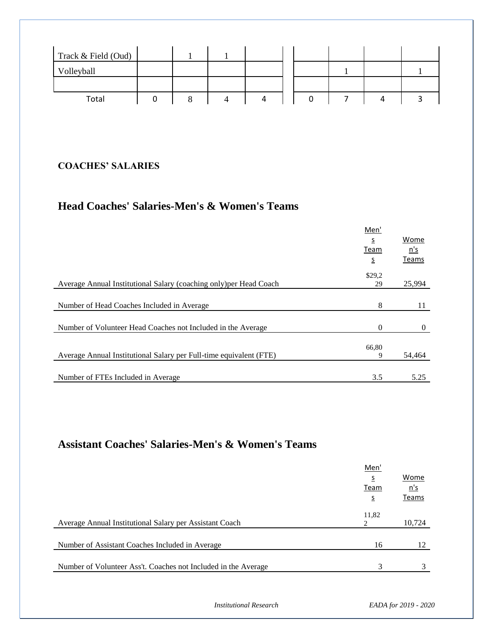| Track & Field (Oud) |  |   |  |  |  |
|---------------------|--|---|--|--|--|
| Volleyball          |  |   |  |  |  |
|                     |  |   |  |  |  |
| Total               |  | 4 |  |  |  |

# **COACHES' SALARIES**

# **Head Coaches' Salaries-Men's & Women's Teams**

|                                                                    | Men'     |          |
|--------------------------------------------------------------------|----------|----------|
|                                                                    | s        | Wome     |
|                                                                    | Team     | n's      |
|                                                                    | s        | Teams    |
|                                                                    | \$29,2   |          |
| Average Annual Institutional Salary (coaching only) per Head Coach | 29       | 25,994   |
|                                                                    |          |          |
| Number of Head Coaches Included in Average                         | 8        | 11       |
|                                                                    |          |          |
| Number of Volunteer Head Coaches not Included in the Average       | $\Omega$ | $\left($ |
|                                                                    |          |          |
|                                                                    | 66,80    |          |
| Average Annual Institutional Salary per Full-time equivalent (FTE) | 9        | 54,464   |
|                                                                    |          |          |
| Number of FTEs Included in Average                                 | 3.5      | 5.25     |
|                                                                    |          |          |

# **Assistant Coaches' Salaries-Men's & Women's Teams**

|                                                                | Men'<br>s<br>Team<br><u>s</u> | Wome<br>n's<br>Teams |
|----------------------------------------------------------------|-------------------------------|----------------------|
| Average Annual Institutional Salary per Assistant Coach        | 11,82                         | 10,724               |
| Number of Assistant Coaches Included in Average                | 16                            | 12                   |
| Number of Volunteer Ass't. Coaches not Included in the Average | 3                             |                      |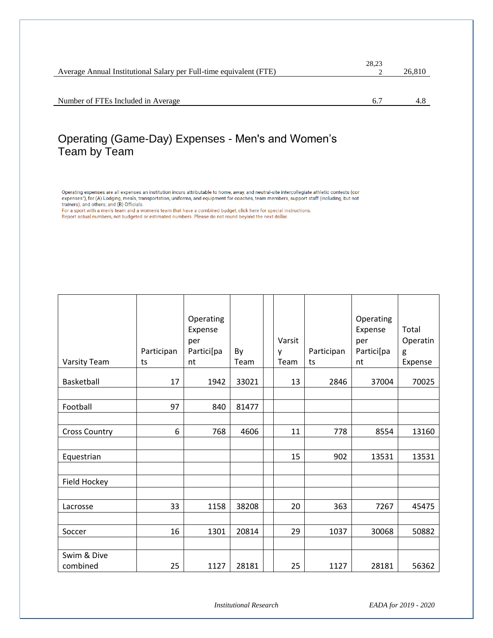|                                                                    | 28,23 |        |
|--------------------------------------------------------------------|-------|--------|
| Average Annual Institutional Salary per Full-time equivalent (FTE) |       | 26,810 |
|                                                                    |       |        |
|                                                                    |       |        |
| Number of FTEs Included in Average                                 | 6.    |        |
|                                                                    |       |        |

# Operating (Game-Day) Expenses - Men's and Women's Team by Team

Operating expenses are all expenses an institution incurs attributable to home, away, and neutral-site intercollegiate athletic contests (con expenses"), for (A) Lodging, meals, transportation, uniforms, and equipment for coaches, team members, support staff (including, but not trainers), and others; and (B) Officials.

For a sport with a men's team and a women's team that have a combined budget, click here for special instructions. Report actual numbers, not budgeted or estimated numbers. Please do not round beyond the next dollar.

|                         | Participan | Operating<br>Expense<br>per<br>Partici[pa | By    | Varsit<br>y | Participan | Operating<br>Expense<br>per<br>Partici[pa | Total<br>Operatin<br>g |
|-------------------------|------------|-------------------------------------------|-------|-------------|------------|-------------------------------------------|------------------------|
| Varsity Team            | ts         | nt                                        | Team  | Team        | ts         | nt                                        | Expense                |
| Basketball              | 17         | 1942                                      | 33021 | 13          | 2846       | 37004                                     | 70025                  |
|                         |            |                                           |       |             |            |                                           |                        |
| Football                | 97         | 840                                       | 81477 |             |            |                                           |                        |
|                         |            |                                           |       |             |            |                                           |                        |
| <b>Cross Country</b>    | 6          | 768                                       | 4606  | 11          | 778        | 8554                                      | 13160                  |
|                         |            |                                           |       |             |            |                                           |                        |
| Equestrian              |            |                                           |       | 15          | 902        | 13531                                     | 13531                  |
|                         |            |                                           |       |             |            |                                           |                        |
| Field Hockey            |            |                                           |       |             |            |                                           |                        |
|                         |            |                                           |       |             |            |                                           |                        |
| Lacrosse                | 33         | 1158                                      | 38208 | 20          | 363        | 7267                                      | 45475                  |
|                         |            |                                           |       |             |            |                                           |                        |
| Soccer                  | 16         | 1301                                      | 20814 | 29          | 1037       | 30068                                     | 50882                  |
|                         |            |                                           |       |             |            |                                           |                        |
| Swim & Dive<br>combined | 25         | 1127                                      | 28181 | 25          | 1127       | 28181                                     | 56362                  |